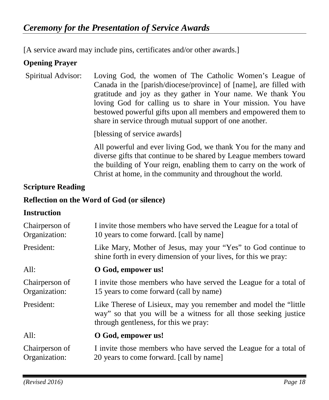[A service award may include pins, certificates and/or other awards.]

#### **Opening Prayer**

Spiritual Advisor: Loving God, the women of The Catholic Women's League of Canada in the [parish/diocese/province] of [name], are filled with gratitude and joy as they gather in Your name. We thank You loving God for calling us to share in Your mission. You have bestowed powerful gifts upon all members and empowered them to share in service through mutual support of one another.

[blessing of service awards]

All powerful and ever living God, we thank You for the many and diverse gifts that continue to be shared by League members toward the building of Your reign, enabling them to carry on the work of Christ at home, in the community and throughout the world.

#### **Scripture Reading**

#### **Reflection on the Word of God (or silence)**

#### **Instruction**

| Chairperson of<br>Organization: | I invite those members who have served the League for a total of<br>10 years to come forward. [call by name]                                                                  |
|---------------------------------|-------------------------------------------------------------------------------------------------------------------------------------------------------------------------------|
| President:                      | Like Mary, Mother of Jesus, may your "Yes" to God continue to<br>shine forth in every dimension of your lives, for this we pray:                                              |
| All:                            | O God, empower us!                                                                                                                                                            |
| Chairperson of<br>Organization: | I invite those members who have served the League for a total of<br>15 years to come forward (call by name)                                                                   |
| President:                      | Like Therese of Lisieux, may you remember and model the "little"<br>way" so that you will be a witness for all those seeking justice<br>through gentleness, for this we pray: |
| All:                            | O God, empower us!                                                                                                                                                            |
| Chairperson of<br>Organization: | I invite those members who have served the League for a total of<br>20 years to come forward. [call by name]                                                                  |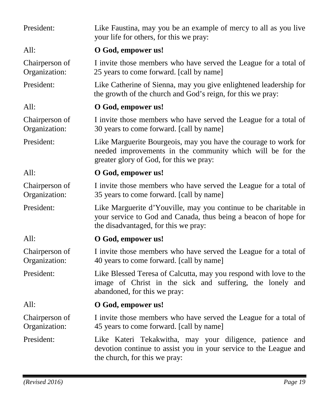| President:                      | Like Faustina, may you be an example of mercy to all as you live<br>your life for others, for this we pray:                                                                 |
|---------------------------------|-----------------------------------------------------------------------------------------------------------------------------------------------------------------------------|
| All:                            | O God, empower us!                                                                                                                                                          |
| Chairperson of<br>Organization: | I invite those members who have served the League for a total of<br>25 years to come forward. [call by name]                                                                |
| President:                      | Like Catherine of Sienna, may you give enlightened leadership for<br>the growth of the church and God's reign, for this we pray:                                            |
| All:                            | O God, empower us!                                                                                                                                                          |
| Chairperson of<br>Organization: | I invite those members who have served the League for a total of<br>30 years to come forward. [call by name]                                                                |
| President:                      | Like Marguerite Bourgeois, may you have the courage to work for<br>needed improvements in the community which will be for the<br>greater glory of God, for this we pray:    |
| All:                            | O God, empower us!                                                                                                                                                          |
| Chairperson of<br>Organization: | I invite those members who have served the League for a total of<br>35 years to come forward. [call by name]                                                                |
| President:                      | Like Marguerite d'Youville, may you continue to be charitable in<br>your service to God and Canada, thus being a beacon of hope for<br>the disadvantaged, for this we pray: |
| All:                            | O God, empower us!                                                                                                                                                          |
| Chairperson of<br>Organization: | I invite those members who have served the League for a total of<br>40 years to come forward. [call by name]                                                                |
| President:                      | Like Blessed Teresa of Calcutta, may you respond with love to the<br>image of Christ in the sick and suffering, the lonely and<br>abandoned, for this we pray:              |
| All:                            | O God, empower us!                                                                                                                                                          |
| Chairperson of<br>Organization: | I invite those members who have served the League for a total of<br>45 years to come forward. [call by name]                                                                |
| President:                      | Like Kateri Tekakwitha, may your diligence, patience and<br>devotion continue to assist you in your service to the League and<br>the church, for this we pray:              |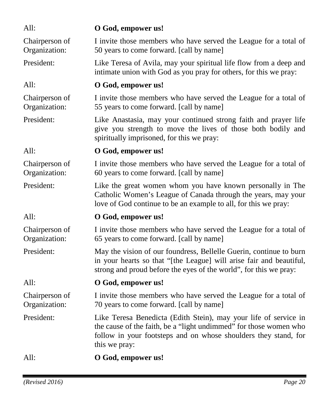| All:                            | O God, empower us!                                                                                                                                                                                                        |
|---------------------------------|---------------------------------------------------------------------------------------------------------------------------------------------------------------------------------------------------------------------------|
| Chairperson of<br>Organization: | I invite those members who have served the League for a total of<br>50 years to come forward. [call by name]                                                                                                              |
| President:                      | Like Teresa of Avila, may your spiritual life flow from a deep and<br>intimate union with God as you pray for others, for this we pray:                                                                                   |
| All:                            | O God, empower us!                                                                                                                                                                                                        |
| Chairperson of<br>Organization: | I invite those members who have served the League for a total of<br>55 years to come forward. [call by name]                                                                                                              |
| President:                      | Like Anastasia, may your continued strong faith and prayer life<br>give you strength to move the lives of those both bodily and<br>spiritually imprisoned, for this we pray:                                              |
| All:                            | O God, empower us!                                                                                                                                                                                                        |
| Chairperson of<br>Organization: | I invite those members who have served the League for a total of<br>60 years to come forward. [call by name]                                                                                                              |
| President:                      | Like the great women whom you have known personally in The<br>Catholic Women's League of Canada through the years, may your<br>love of God continue to be an example to all, for this we pray:                            |
| All:                            | O God, empower us!                                                                                                                                                                                                        |
| Chairperson of<br>Organization: | I invite those members who have served the League for a total of<br>65 years to come forward. [call by name]                                                                                                              |
| President:                      | May the vision of our foundress, Bellelle Guerin, continue to burn<br>in your hearts so that "[the League] will arise fair and beautiful,<br>strong and proud before the eyes of the world", for this we pray:            |
| All:                            | O God, empower us!                                                                                                                                                                                                        |
| Chairperson of<br>Organization: | I invite those members who have served the League for a total of<br>70 years to come forward. [call by name]                                                                                                              |
| President:                      | Like Teresa Benedicta (Edith Stein), may your life of service in<br>the cause of the faith, be a "light undimmed" for those women who<br>follow in your footsteps and on whose shoulders they stand, for<br>this we pray: |
| All:                            | O God, empower us!                                                                                                                                                                                                        |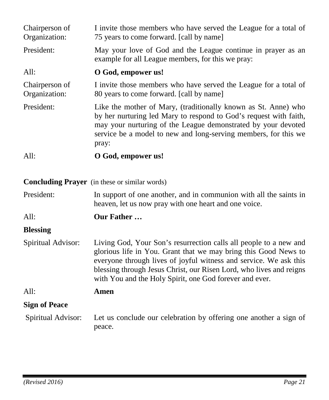| Chairperson of<br>Organization:                      | I invite those members who have served the League for a total of<br>75 years to come forward. [call by name]                                                                                                                                                                                                                                |  |
|------------------------------------------------------|---------------------------------------------------------------------------------------------------------------------------------------------------------------------------------------------------------------------------------------------------------------------------------------------------------------------------------------------|--|
| President:                                           | May your love of God and the League continue in prayer as an<br>example for all League members, for this we pray:                                                                                                                                                                                                                           |  |
| All:                                                 | O God, empower us!                                                                                                                                                                                                                                                                                                                          |  |
| Chairperson of<br>Organization:                      | I invite those members who have served the League for a total of<br>80 years to come forward. [call by name]                                                                                                                                                                                                                                |  |
| President:                                           | Like the mother of Mary, (traditionally known as St. Anne) who<br>by her nurturing led Mary to respond to God's request with faith,<br>may your nurturing of the League demonstrated by your devoted<br>service be a model to new and long-serving members, for this we<br>pray:                                                            |  |
| All:                                                 | O God, empower us!                                                                                                                                                                                                                                                                                                                          |  |
| <b>Concluding Prayer</b> (in these or similar words) |                                                                                                                                                                                                                                                                                                                                             |  |
| President:                                           | In support of one another, and in communion with all the saints in<br>heaven, let us now pray with one heart and one voice.                                                                                                                                                                                                                 |  |
| All:                                                 | Our Father                                                                                                                                                                                                                                                                                                                                  |  |
| <b>Blessing</b>                                      |                                                                                                                                                                                                                                                                                                                                             |  |
| Spiritual Advisor:                                   | Living God, Your Son's resurrection calls all people to a new and<br>glorious life in You. Grant that we may bring this Good News to<br>everyone through lives of joyful witness and service. We ask this<br>blessing through Jesus Christ, our Risen Lord, who lives and reigns<br>with You and the Holy Spirit, one God forever and ever. |  |
| All:                                                 | Amen                                                                                                                                                                                                                                                                                                                                        |  |
| <b>Sign of Peace</b>                                 |                                                                                                                                                                                                                                                                                                                                             |  |
| Spiritual Advisor:                                   | Let us conclude our celebration by offering one another a sign of<br>peace.                                                                                                                                                                                                                                                                 |  |